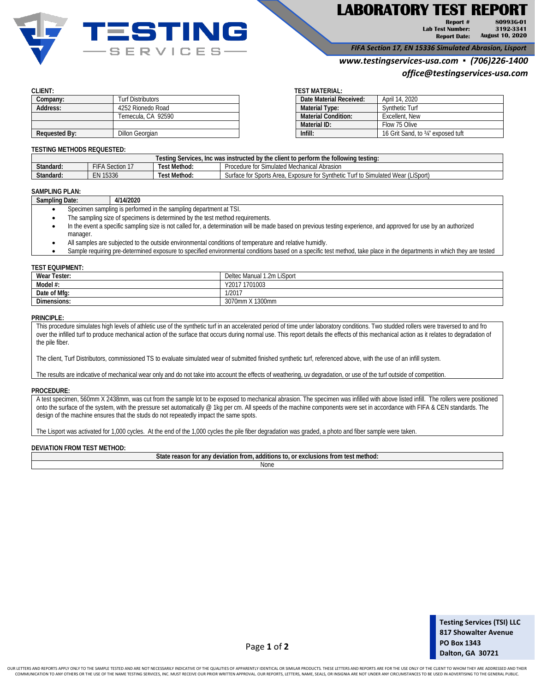

# **LABORATORY TEST REPORT**

**Report # Lab Test Number: Report Date: 80993G-01 3192-3341 August 10, 2020**

*FIFA Section 17, EN 15336 Simulated Abrasion, Lisport*

## *www.testingservices-usa.com ▪ (706)226-1400*

# *office@testingservices-usa.com*

| Company:             | Turf Distributors  |              | Date Material Received:    | April 14, 2020                    |
|----------------------|--------------------|--------------|----------------------------|-----------------------------------|
| Address:             | 4252 Rionedo Road  |              | <b>Material Type:</b>      | Synthetic Turf                    |
|                      | Temecula, CA 92590 |              | <b>Material Condition:</b> | Excellent, New                    |
|                      |                    | Material ID: |                            | Flow 75 Olive                     |
| <b>Requested By:</b> | Dillon Georgian    | Infill:      |                            | 16 Grit Sand, to 34" exposed tuft |

### **CLIENT: TEST MATERIAL:**

| Date Material Received:    | April 14, 2020                    |
|----------------------------|-----------------------------------|
| <b>Material Type:</b>      | Synthetic Turf                    |
| <b>Material Condition:</b> | Excellent, New                    |
| Material ID:               | Flow 75 Olive                     |
| Infill:                    | 16 Grit Sand, to 34" exposed tuft |

#### **TESTING METHODS REQUESTED:**

| : followina testina:<br>$\blacksquare$ Inc was instructed by the $\blacksquare$<br>l estina<br>⊾∼r<br>eclient to perform the a<br>IICAC<br><b>SELVILLES.</b> |                       |              |                                                                                                                                                                                         |  |
|--------------------------------------------------------------------------------------------------------------------------------------------------------------|-----------------------|--------------|-----------------------------------------------------------------------------------------------------------------------------------------------------------------------------------------|--|
| Standard:                                                                                                                                                    | $F$ $FA$<br>Section 1 | Test Method. | Abrasion<br>Procedure<br><sup>-</sup> Simulated Mechanical<br>$^{\ast}$<br>: IU                                                                                                         |  |
| Standard:                                                                                                                                                    | 15336<br>۰N           | Test Method: | (LiSport)<br>$M \sim rL$<br>Simulated<br>: Sports Area.<br>svnthetic<br>t to<br>Surtace<br>tor 1<br>$+$<br>u۴<br>Exposure fo<br>vvea<br>-11.21<br>ாச<br>$\cdot$ $\cdot$ $\cdot$ $\cdot$ |  |

# **SAMPLING PLAN:**

| Sampling Date: | 4/14/2020 |
|----------------|-----------|
|                |           |

- Specimen sampling is performed in the sampling department at TSI.
- The sampling size of specimens is determined by the test method requirements.
- In the event a specific sampling size is not called for, a determination will be made based on previous testing experience, and approved for use by an authorized manager.
- All samples are subjected to the outside environmental conditions of temperature and relative humidly.
- Sample requiring pre-determined exposure to specified environmental conditions based on a specific test method, take place in the departments in which they are tested

#### **TEST EQUIPMENT:**

| Wear Tester: | Deltec Manual 1.2m LiSport |
|--------------|----------------------------|
| Model #:     | 17 1701003<br>Y201.        |
| Date of Mfg: | 1/201                      |
| Dimensions:  | 3070mm X 1300mm            |

#### **PRINCIPLE:**

This procedure simulates high levels of athletic use of the synthetic turf in an accelerated period of time under laboratory conditions. Two studded rollers were traversed to and fro over the infilled turf to produce mechanical action of the surface that occurs during normal use. This report details the effects of this mechanical action as it relates to degradation of the pile fiber.

The client, Turf Distributors, commissioned TS to evaluate simulated wear of submitted finished synthetic turf, referenced above, with the use of an infill system.

The results are indicative of mechanical wear only and do not take into account the effects of weathering, uv degradation, or use of the turf outside of competition.

#### **PROCEDURE:**

A test specimen, 560mm X 2438mm, was cut from the sample lot to be exposed to mechanical abrasion. The specimen was infilled with above listed infill. The rollers were positioned onto the surface of the system, with the pressure set automatically @ 1kg per cm. All speeds of the machine components were set in accordance with FIFA & CEN standards. The design of the machine ensures that the studs do not repeatedly impact the same spots.

The Lisport was activated for 1,000 cycles. At the end of the 1,000 cycles the pile fiber degradation was graded, a photo and fiber sample were taken.

#### **DEVIATION FROM TEST METHOD:**

| $\cdots$<br>$C_{\text{flat}}$<br>method<br>toc:<br>roge.<br>additions to<br>autsive<br>uor 1<br>lons from<br>∶an<br>reason<br>i irom.<br>otate<br>uc.<br>-01.11 |  |
|-----------------------------------------------------------------------------------------------------------------------------------------------------------------|--|
| ivu.                                                                                                                                                            |  |

Page **1** of **2**

OUR LETTERS AND REPORTS APPLY ONLY TO THE SAMPLE TESTED AND ARE NOT NECESSARILY INDICATIVE OF THE QUALITIES OF APPARENTLY IDENTICAL OR SIMILAR PRODUCTS. THESE LETTERS AND REPORTS ARE FOR THE USE ONLY OF THE CLIENT TO WHOM COMMUNICATION TO ANY OTHERS OR THE USE OF THE NAME TESTING SERVICES, INC. MUST RECEIVE OUR PRIOR WRITTEN APPROVAL. OUR REPORTS, LETTERS, NAME, SEALS, OR INSIGNIA ARE NOT UNDER ANY CIRCUMSTANCES TO BE USED IN ADVERTISING TO